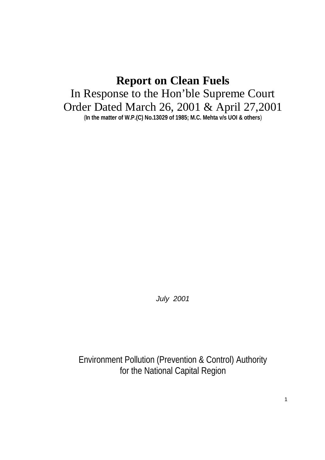# **Report on Clean Fuels** In Response to the Hon'ble Supreme Court Order Dated March 26, 2001 & April 27,2001 (**In the matter of W.P.(C) No.13029 of 1985; M.C. Mehta v/s UOI & others**)

*July 2001*

Environment Pollution (Prevention & Control) Authority for the National Capital Region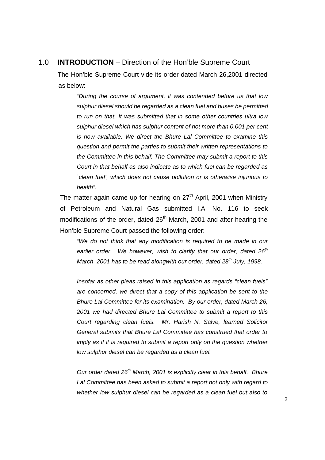# 1.0 **INTRODUCTION** – Direction of the Hon'ble Supreme Court

The Hon'ble Supreme Court vide its order dated March 26,2001 directed as below:

"*During the course of argument, it was contended before us that low sulphur diesel should be regarded as a clean fuel and buses be permitted to run on that. It was submitted that in some other countries ultra low sulphur diesel which has sulphur content of not more than 0.001 per cent is now available. We direct the Bhure Lal Committee to examine this question and permit the parties to submit their written representations to the Committee in this behalf. The Committee may submit a report to this Court in that behalf as also indicate as to which fuel can be regarded as `clean fuel', which does not cause pollution or is otherwise injurious to health".*

The matter again came up for hearing on  $27<sup>th</sup>$  April, 2001 when Ministry of Petroleum and Natural Gas submitted I.A. No. 116 to seek modifications of the order, dated 26<sup>th</sup> March, 2001 and after hearing the Hon'ble Supreme Court passed the following order:

"*We do not think that any modification is required to be made in our earlier order. We however, wish to clarify that our order, dated 26th March, 2001 has to be read alongwith our order, dated 28th July, 1998.*

*Insofar as other pleas raised in this application as regards "clean fuels" are concerned, we direct that a copy of this application be sent to the Bhure Lal Committee for its examination. By our order, dated March 26, 2001 we had directed Bhure Lal Committee to submit a report to this Court regarding clean fuels. Mr. Harish N. Salve, learned Solicitor General submits that Bhure Lal Committee has construed that order to imply as if it is required to submit a report only on the question whether low sulphur diesel can be regarded as a clean fuel.*

*Our order dated 26th March, 2001 is explicitly clear in this behalf. Bhure Lal Committee has been asked to submit a report not only with regard to whether low sulphur diesel can be regarded as a clean fuel but also to*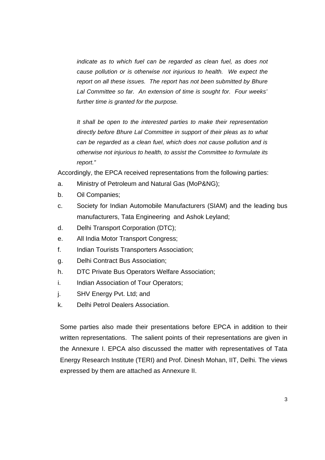*indicate as to which fuel can be regarded as clean fuel, as does not cause pollution or is otherwise not injurious to health. We expect the report on all these issues. The report has not been submitted by Bhure Lal Committee so far. An extension of time is sought for. Four weeks' further time is granted for the purpose.* 

*It shall be open to the interested parties to make their representation directly before Bhure Lal Committee in support of their pleas as to what can be regarded as a clean fuel, which does not cause pollution and is otherwise not injurious to health, to assist the Committee to formulate its report."*

Accordingly, the EPCA received representations from the following parties:

- a. Ministry of Petroleum and Natural Gas (MoP&NG);
- b. Oil Companies;
- c. Society for Indian Automobile Manufacturers (SIAM) and the leading bus manufacturers, Tata Engineering and Ashok Leyland;
- d. Delhi Transport Corporation (DTC);
- e. All India Motor Transport Congress;
- f. Indian Tourists Transporters Association;
- g. Delhi Contract Bus Association;
- h. DTC Private Bus Operators Welfare Association;
- i. Indian Association of Tour Operators;
- j. SHV Energy Pvt. Ltd; and
- k. Delhi Petrol Dealers Association.

Some parties also made their presentations before EPCA in addition to their written representations. The salient points of their representations are given in the Annexure I. EPCA also discussed the matter with representatives of Tata Energy Research Institute (TERI) and Prof. Dinesh Mohan, IIT, Delhi. The views expressed by them are attached as Annexure II.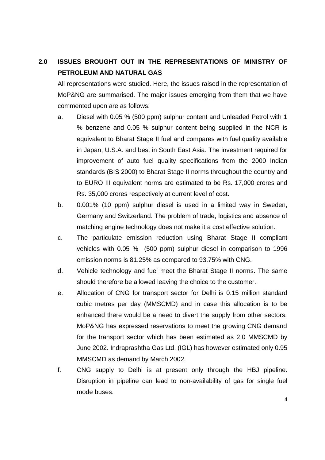# **2.0 ISSUES BROUGHT OUT IN THE REPRESENTATIONS OF MINISTRY OF PETROLEUM AND NATURAL GAS**

All representations were studied. Here, the issues raised in the representation of MoP&NG are summarised. The major issues emerging from them that we have commented upon are as follows:

- a. Diesel with 0.05 % (500 ppm) sulphur content and Unleaded Petrol with 1 % benzene and 0.05 % sulphur content being supplied in the NCR is equivalent to Bharat Stage II fuel and compares with fuel quality available in Japan, U.S.A. and best in South East Asia. The investment required for improvement of auto fuel quality specifications from the 2000 Indian standards (BIS 2000) to Bharat Stage II norms throughout the country and to EURO III equivalent norms are estimated to be Rs. 17,000 crores and Rs. 35,000 crores respectively at current level of cost.
- b. 0.001% (10 ppm) sulphur diesel is used in a limited way in Sweden, Germany and Switzerland. The problem of trade, logistics and absence of matching engine technology does not make it a cost effective solution.
- c. The particulate emission reduction using Bharat Stage II compliant vehicles with 0.05 % (500 ppm) sulphur diesel in comparison to 1996 emission norms is 81.25% as compared to 93.75% with CNG.
- d. Vehicle technology and fuel meet the Bharat Stage II norms. The same should therefore be allowed leaving the choice to the customer.
- e. Allocation of CNG for transport sector for Delhi is 0.15 million standard cubic metres per day (MMSCMD) and in case this allocation is to be enhanced there would be a need to divert the supply from other sectors. MoP&NG has expressed reservations to meet the growing CNG demand for the transport sector which has been estimated as 2.0 MMSCMD by June 2002. Indraprashtha Gas Ltd. (IGL) has however estimated only 0.95 MMSCMD as demand by March 2002.
- f. CNG supply to Delhi is at present only through the HBJ pipeline. Disruption in pipeline can lead to non-availability of gas for single fuel mode buses.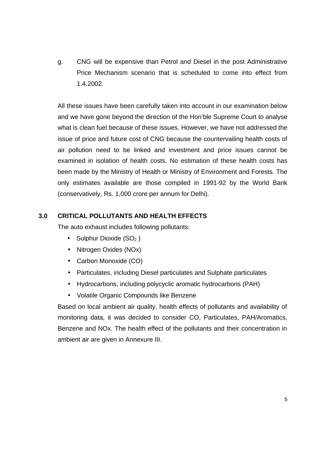g. CNG will be expensive than Petrol and Diesel in the post Administrative Price Mechanism scenario that is scheduled to come into effect from 1.4.2002.

All these issues have been carefully taken into account in our examination below and we have gone beyond the direction of the Hon'ble Supreme Court to analyse what is clean fuel because of these issues. However, we have not addressed the issue of price and future cost of CNG because the countervailing health costs of air pollution need to be linked and investment and price issues cannot be examined in isolation of health costs. No estimation of these health costs has been made by the Ministry of Health or Ministry of Environment and Forests. The only estimates available are those compiled in 1991-92 by the World Bank (conservatively, Rs. 1,000 crore per annum for Delhi).

# **3.0 CRITICAL POLLUTANTS AND HEALTH EFFECTS**

The auto exhaust includes following pollutants:

- Sulphur Dioxide  $(SO<sub>2</sub>)$
- Nitrogen Oxides (NOx)
- Carbon Monoxide (CO)
- Particulates, including Diesel particulates and Sulphate particulates
- Hydrocarbons, including polycyclic aromatic hydrocarbons (PAH)
- Volatile Organic Compounds like Benzene

Based on local ambient air quality, health effects of pollutants and availability of monitoring data, it was decided to consider CO, Particulates, PAH/Aromatics, Benzene and NOx. The health effect of the pollutants and their concentration in ambient air are given in Annexure III.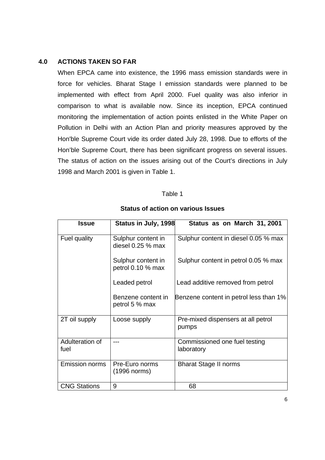# **4.0 ACTIONS TAKEN SO FAR**

When EPCA came into existence, the 1996 mass emission standards were in force for vehicles. Bharat Stage I emission standards were planned to be implemented with effect from April 2000. Fuel quality was also inferior in comparison to what is available now. Since its inception, EPCA continued monitoring the implementation of action points enlisted in the White Paper on Pollution in Delhi with an Action Plan and priority measures approved by the Hon'ble Supreme Court vide its order dated July 28, 1998. Due to efforts of the Hon'ble Supreme Court, there has been significant progress on several issues. The status of action on the issues arising out of the Court's directions in July 1998 and March 2001 is given in Table 1.

#### Table 1

| <b>Issue</b>            | Status in July, 1998                     | Status as on March 31, 2001                 |
|-------------------------|------------------------------------------|---------------------------------------------|
| Fuel quality            | Sulphur content in<br>diesel $0.25%$ max | Sulphur content in diesel 0.05 % max        |
|                         | Sulphur content in<br>petrol 0.10 % max  | Sulphur content in petrol 0.05 % max        |
|                         | Leaded petrol                            | Lead additive removed from petrol           |
|                         | Benzene content in<br>petrol 5 % max     | Benzene content in petrol less than 1%      |
| 2T oil supply           | Loose supply                             | Pre-mixed dispensers at all petrol<br>pumps |
| Adulteration of<br>fuel |                                          | Commissioned one fuel testing<br>laboratory |
| <b>Emission norms</b>   | Pre-Euro norms<br>$(1996$ norms)         | <b>Bharat Stage II norms</b>                |
| <b>CNG Stations</b>     | 9                                        | 68                                          |

#### **Status of action on various Issues**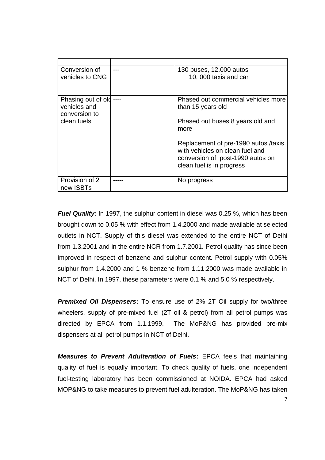| Conversion of<br>vehicles to CNG                                   | 130 buses, 12,000 autos<br>10, 000 taxis and car                                                                                                                                                                                                 |
|--------------------------------------------------------------------|--------------------------------------------------------------------------------------------------------------------------------------------------------------------------------------------------------------------------------------------------|
| Phasing out of old<br>vehicles and<br>conversion to<br>clean fuels | Phased out commercial vehicles more<br>than 15 years old<br>Phased out buses 8 years old and<br>more<br>Replacement of pre-1990 autos /taxis<br>with vehicles on clean fuel and<br>conversion of post-1990 autos on<br>clean fuel is in progress |
| Provision of 2<br>new ISBTs                                        | No progress                                                                                                                                                                                                                                      |

*Fuel Quality:* In 1997, the sulphur content in diesel was 0.25 %, which has been brought down to 0.05 % with effect from 1.4.2000 and made available at selected outlets in NCT. Supply of this diesel was extended to the entire NCT of Delhi from 1.3.2001 and in the entire NCR from 1.7.2001. Petrol quality has since been improved in respect of benzene and sulphur content. Petrol supply with 0.05% sulphur from 1.4.2000 and 1 % benzene from 1.11.2000 was made available in NCT of Delhi. In 1997, these parameters were 0.1 % and 5.0 % respectively.

**Premixed Oil Dispensers:** To ensure use of 2% 2T Oil supply for two/three wheelers, supply of pre-mixed fuel (2T oil & petrol) from all petrol pumps was directed by EPCA from 1.1.1999. The MoP&NG has provided pre-mix dispensers at all petrol pumps in NCT of Delhi.

*Measures to Prevent Adulteration of Fuels***:** EPCA feels that maintaining quality of fuel is equally important. To check quality of fuels, one independent fuel-testing laboratory has been commissioned at NOIDA. EPCA had asked MOP&NG to take measures to prevent fuel adulteration. The MoP&NG has taken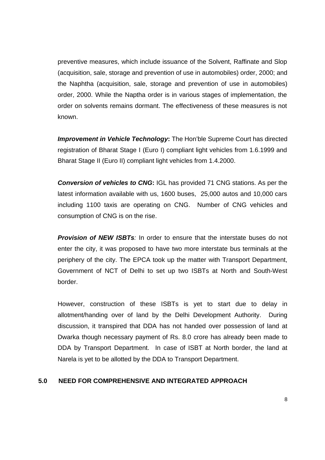preventive measures, which include issuance of the Solvent, Raffinate and Slop (acquisition, sale, storage and prevention of use in automobiles) order, 2000; and the Naphtha (acquisition, sale, storage and prevention of use in automobiles) order, 2000. While the Naptha order is in various stages of implementation, the order on solvents remains dormant. The effectiveness of these measures is not known.

*Improvement in Vehicle Technology***:** The Hon'ble Supreme Court has directed registration of Bharat Stage I (Euro I) compliant light vehicles from 1.6.1999 and Bharat Stage II (Euro II) compliant light vehicles from 1.4.2000.

*Conversion of vehicles to CNG***:** IGL has provided 71 CNG stations. As per the latest information available with us, 1600 buses, 25,000 autos and 10,000 cars including 1100 taxis are operating on CNG. Number of CNG vehicles and consumption of CNG is on the rise.

**Provision of NEW ISBTs**: In order to ensure that the interstate buses do not enter the city, it was proposed to have two more interstate bus terminals at the periphery of the city. The EPCA took up the matter with Transport Department, Government of NCT of Delhi to set up two ISBTs at North and South-West border.

However, construction of these ISBTs is yet to start due to delay in allotment/handing over of land by the Delhi Development Authority. During discussion, it transpired that DDA has not handed over possession of land at Dwarka though necessary payment of Rs. 8.0 crore has already been made to DDA by Transport Department. In case of ISBT at North border, the land at Narela is yet to be allotted by the DDA to Transport Department.

# **5.0 NEED FOR COMPREHENSIVE AND INTEGRATED APPROACH**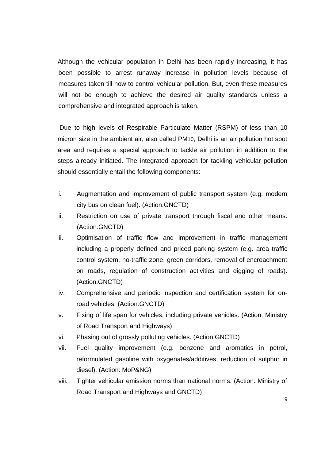Although the vehicular population in Delhi has been rapidly increasing, it has been possible to arrest runaway increase in pollution levels because of measures taken till now to control vehicular pollution. But, even these measures will not be enough to achieve the desired air quality standards unless a comprehensive and integrated approach is taken.

 Due to high levels of Respirable Particulate Matter (RSPM) of less than 10 micron size in the ambient air, also called PM10, Delhi is an air pollution hot spot area and requires a special approach to tackle air pollution in addition to the steps already initiated. The integrated approach for tackling vehicular pollution should essentially entail the following components:

- i. Augmentation and improvement of public transport system (e.g. modern city bus on clean fuel). (Action:GNCTD)
- ii. Restriction on use of private transport through fiscal and other means. (Action:GNCTD)
- iii. Optimisation of traffic flow and improvement in traffic management including a properly defined and priced parking system (e.g. area traffic control system, no-traffic zone, green corridors, removal of encroachment on roads, regulation of construction activities and digging of roads). (Action:GNCTD)
- iv. Comprehensive and periodic inspection and certification system for onroad vehicles. (Action:GNCTD)
- v. Fixing of life span for vehicles, including private vehicles. (Action: Ministry of Road Transport and Highways)
- vi. Phasing out of grossly polluting vehicles. (Action:GNCTD)
- vii. Fuel quality improvement (e.g. benzene and aromatics in petrol, reformulated gasoline with oxygenates/additives, reduction of sulphur in diesel). (Action: MoP&NG)
- viii. Tighter vehicular emission norms than national norms. (Action: Ministry of Road Transport and Highways and GNCTD)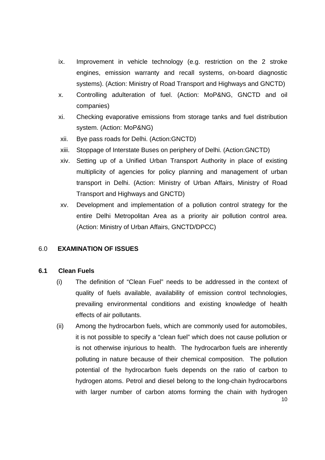- ix. Improvement in vehicle technology (e.g. restriction on the 2 stroke engines, emission warranty and recall systems, on-board diagnostic systems). (Action: Ministry of Road Transport and Highways and GNCTD)
- x. Controlling adulteration of fuel. (Action: MoP&NG, GNCTD and oil companies)
- xi. Checking evaporative emissions from storage tanks and fuel distribution system. (Action: MoP&NG)
- xii. Bye pass roads for Delhi. (Action:GNCTD)
- xiii. Stoppage of Interstate Buses on periphery of Delhi. (Action:GNCTD)
- xiv. Setting up of a Unified Urban Transport Authority in place of existing multiplicity of agencies for policy planning and management of urban transport in Delhi. (Action: Ministry of Urban Affairs, Ministry of Road Transport and Highways and GNCTD)
- xv. Development and implementation of a pollution control strategy for the entire Delhi Metropolitan Area as a priority air pollution control area. (Action: Ministry of Urban Affairs, GNCTD/DPCC)

# 6.0 **EXAMINATION OF ISSUES**

# **6.1 Clean Fuels**

- (i) The definition of "Clean Fuel" needs to be addressed in the context of quality of fuels available, availability of emission control technologies, prevailing environmental conditions and existing knowledge of health effects of air pollutants.
- 10 (ii) Among the hydrocarbon fuels, which are commonly used for automobiles, it is not possible to specify a "clean fuel" which does not cause pollution or is not otherwise injurious to health. The hydrocarbon fuels are inherently polluting in nature because of their chemical composition. The pollution potential of the hydrocarbon fuels depends on the ratio of carbon to hydrogen atoms. Petrol and diesel belong to the long-chain hydrocarbons with larger number of carbon atoms forming the chain with hydrogen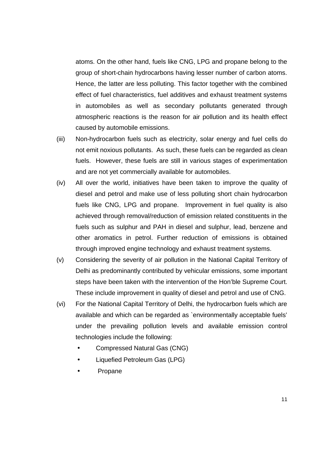atoms. On the other hand, fuels like CNG, LPG and propane belong to the group of short-chain hydrocarbons having lesser number of carbon atoms. Hence, the latter are less polluting. This factor together with the combined effect of fuel characteristics, fuel additives and exhaust treatment systems in automobiles as well as secondary pollutants generated through atmospheric reactions is the reason for air pollution and its health effect caused by automobile emissions.

- (iii) Non-hydrocarbon fuels such as electricity, solar energy and fuel cells do not emit noxious pollutants. As such, these fuels can be regarded as clean fuels. However, these fuels are still in various stages of experimentation and are not yet commercially available for automobiles.
- (iv) All over the world, initiatives have been taken to improve the quality of diesel and petrol and make use of less polluting short chain hydrocarbon fuels like CNG, LPG and propane. Improvement in fuel quality is also achieved through removal/reduction of emission related constituents in the fuels such as sulphur and PAH in diesel and sulphur, lead, benzene and other aromatics in petrol. Further reduction of emissions is obtained through improved engine technology and exhaust treatment systems.
- (v) Considering the severity of air pollution in the National Capital Territory of Delhi as predominantly contributed by vehicular emissions, some important steps have been taken with the intervention of the Hon'ble Supreme Court. These include improvement in quality of diesel and petrol and use of CNG.
- (vi) For the National Capital Territory of Delhi, the hydrocarbon fuels which are available and which can be regarded as `environmentally acceptable fuels' under the prevailing pollution levels and available emission control technologies include the following:
	- Compressed Natural Gas (CNG)
	- Liquefied Petroleum Gas (LPG)
	- Propane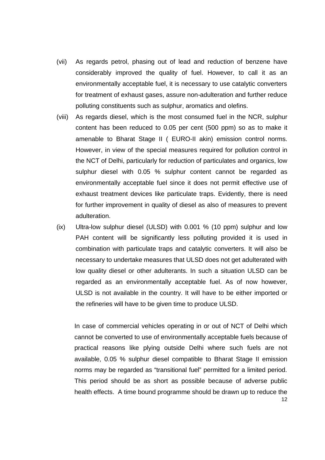- (vii) As regards petrol, phasing out of lead and reduction of benzene have considerably improved the quality of fuel. However, to call it as an environmentally acceptable fuel, it is necessary to use catalytic converters for treatment of exhaust gases, assure non-adulteration and further reduce polluting constituents such as sulphur, aromatics and olefins.
- (viii) As regards diesel, which is the most consumed fuel in the NCR, sulphur content has been reduced to 0.05 per cent (500 ppm) so as to make it amenable to Bharat Stage II ( EURO-II akin) emission control norms. However, in view of the special measures required for pollution control in the NCT of Delhi, particularly for reduction of particulates and organics, low sulphur diesel with 0.05 % sulphur content cannot be regarded as environmentally acceptable fuel since it does not permit effective use of exhaust treatment devices like particulate traps. Evidently, there is need for further improvement in quality of diesel as also of measures to prevent adulteration.
- (ix) Ultra-low sulphur diesel (ULSD) with 0.001 % (10 ppm) sulphur and low PAH content will be significantly less polluting provided it is used in combination with particulate traps and catalytic converters. It will also be necessary to undertake measures that ULSD does not get adulterated with low quality diesel or other adulterants. In such a situation ULSD can be regarded as an environmentally acceptable fuel. As of now however, ULSD is not available in the country. It will have to be either imported or the refineries will have to be given time to produce ULSD.

12 In case of commercial vehicles operating in or out of NCT of Delhi which cannot be converted to use of environmentally acceptable fuels because of practical reasons like plying outside Delhi where such fuels are not available, 0.05 % sulphur diesel compatible to Bharat Stage II emission norms may be regarded as "transitional fuel" permitted for a limited period. This period should be as short as possible because of adverse public health effects. A time bound programme should be drawn up to reduce the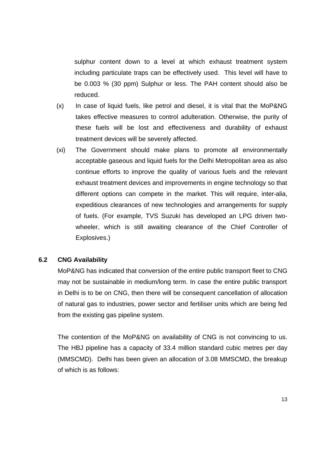sulphur content down to a level at which exhaust treatment system including particulate traps can be effectively used. This level will have to be 0.003 % (30 ppm) Sulphur or less. The PAH content should also be reduced.

- (x) In case of liquid fuels, like petrol and diesel, it is vital that the MoP&NG takes effective measures to control adulteration. Otherwise, the purity of these fuels will be lost and effectiveness and durability of exhaust treatment devices will be severely affected.
- (xi) The Government should make plans to promote all environmentally acceptable gaseous and liquid fuels for the Delhi Metropolitan area as also continue efforts to improve the quality of various fuels and the relevant exhaust treatment devices and improvements in engine technology so that different options can compete in the market. This will require, inter-alia, expeditious clearances of new technologies and arrangements for supply of fuels. (For example, TVS Suzuki has developed an LPG driven twowheeler, which is still awaiting clearance of the Chief Controller of Explosives.)

# **6.2 CNG Availability**

MoP&NG has indicated that conversion of the entire public transport fleet to CNG may not be sustainable in medium/long term. In case the entire public transport in Delhi is to be on CNG, then there will be consequent cancellation of allocation of natural gas to industries, power sector and fertiliser units which are being fed from the existing gas pipeline system.

The contention of the MoP&NG on availability of CNG is not convincing to us. The HBJ pipeline has a capacity of 33.4 million standard cubic metres per day (MMSCMD). Delhi has been given an allocation of 3.08 MMSCMD, the breakup of which is as follows: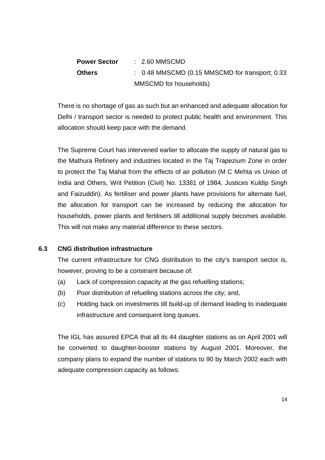| <b>Power Sector</b> | $\therefore$ 2.60 MMSCMD                                  |
|---------------------|-----------------------------------------------------------|
| <b>Others</b>       | $\therefore$ 0.48 MMSCMD (0.15 MMSCMD for transport; 0.33 |
|                     | MMSCMD for households)                                    |

There is no shortage of gas as such but an enhanced and adequate allocation for Delhi / transport sector is needed to protect public health and environment. This allocation should keep pace with the demand.

The Supreme Court has intervened earlier to allocate the supply of natural gas to the Mathura Refinery and industries located in the Taj Trapezium Zone in order to protect the Taj Mahal from the effects of air pollution (M C Mehta vs Union of India and Others, Writ Petition (Civil) No. 13381 of 1984, Justices Kuldip Singh and Faizuddin). As fertiliser and power plants have provisions for alternate fuel, the allocation for transport can be increased by reducing the allocation for households, power plants and fertilisers till additional supply becomes available. This will not make any material difference to these sectors.

# **6.3 CNG distribution infrastructure**

The current infrastructure for CNG distribution to the city's transport sector is, however, proving to be a constraint because of:

- (a) Lack of compression capacity at the gas refuelling stations;
- (b) Poor distribution of refuelling stations across the city; and,
- (c) Holding back on investments till build-up of demand leading to inadequate infrastructure and consequent long queues.

The IGL has assured EPCA that all its 44 daughter stations as on April 2001 will be converted to daughter-booster stations by August 2001. Moreover, the company plans to expand the number of stations to 90 by March 2002 each with adequate compression capacity as follows: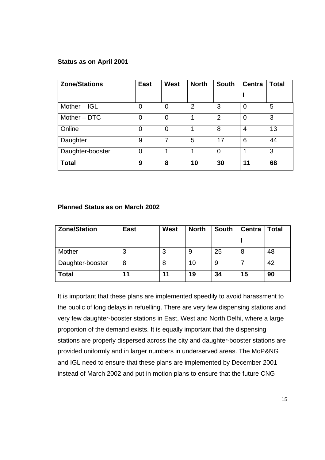#### **Status as on April 2001**

| <b>Zone/Stations</b> | <b>East</b>    | <b>West</b>    | <b>North</b>   | <b>South</b>   | <b>Centra</b>  | <b>Total</b> |
|----------------------|----------------|----------------|----------------|----------------|----------------|--------------|
|                      |                |                |                |                |                |              |
| Mother $-$ IGL       | $\overline{0}$ | $\overline{0}$ | $\overline{2}$ | 3              | $\Omega$       | 5            |
| Mother - DTC         | $\overline{0}$ | $\overline{0}$ | и              | $\overline{2}$ | $\overline{0}$ | 3            |
| Online               | 0              | $\overline{0}$ |                | 8              | 4              | 13           |
| Daughter             | 9              | 7              | 5              | 17             | 6              | 44           |
| Daughter-booster     | $\overline{0}$ | 1              | и              | 0              | 1              | 3            |
| <b>Total</b>         | 9              | 8              | 10             | 30             | 11             | 68           |

#### **Planned Status as on March 2002**

| <b>Zone/Station</b> | <b>East</b> | <b>West</b> | <b>North</b> | <b>South</b> | <b>Centra</b> | Total |
|---------------------|-------------|-------------|--------------|--------------|---------------|-------|
|                     |             |             |              |              |               |       |
| Mother              | 3           | 3           | 9            | 25           |               | 48    |
| Daughter-booster    | 8           | 8           | 10           | 9            |               | 42    |
| <b>Total</b>        | 11          | 11          | 19           | 34           | 15            | 90    |

It is important that these plans are implemented speedily to avoid harassment to the public of long delays in refuelling. There are very few dispensing stations and very few daughter-booster stations in East, West and North Delhi, where a large proportion of the demand exists. It is equally important that the dispensing stations are properly dispersed across the city and daughter-booster stations are provided uniformly and in larger numbers in underserved areas. The MoP&NG and IGL need to ensure that these plans are implemented by December 2001 instead of March 2002 and put in motion plans to ensure that the future CNG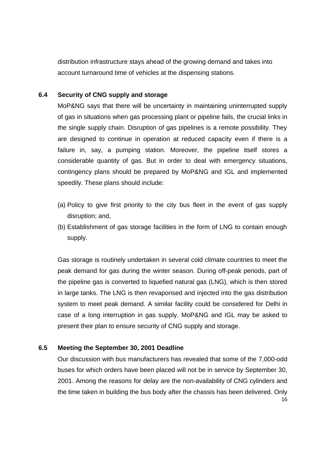distribution infrastructure stays ahead of the growing demand and takes into account turnaround time of vehicles at the dispensing stations.

#### **6.4 Security of CNG supply and storage**

MoP&NG says that there will be uncertainty in maintaining uninterrupted supply of gas in situations when gas processing plant or pipeline fails, the crucial links in the single supply chain. Disruption of gas pipelines is a remote possibility. They are designed to continue in operation at reduced capacity even if there is a failure in, say, a pumping station. Moreover, the pipeline itself stores a considerable quantity of gas. But in order to deal with emergency situations, contingency plans should be prepared by MoP&NG and IGL and implemented speedily. These plans should include:

- (a) Policy to give first priority to the city bus fleet in the event of gas supply disruption; and,
- (b) Establishment of gas storage facilities in the form of LNG to contain enough supply.

Gas storage is routinely undertaken in several cold climate countries to meet the peak demand for gas during the winter season. During off-peak periods, part of the pipeline gas is converted to liquefied natural gas (LNG), which is then stored in large tanks. The LNG is then revaporised and injected into the gas distribution system to meet peak demand. A similar facility could be considered for Delhi in case of a long interruption in gas supply. MoP&NG and IGL may be asked to present their plan to ensure security of CNG supply and storage.

#### **6.5 Meeting the September 30, 2001 Deadline**

16 Our discussion with bus manufacturers has revealed that some of the 7,000-odd buses for which orders have been placed will not be in service by September 30, 2001. Among the reasons for delay are the non-availability of CNG cylinders and the time taken in building the bus body after the chassis has been delivered. Only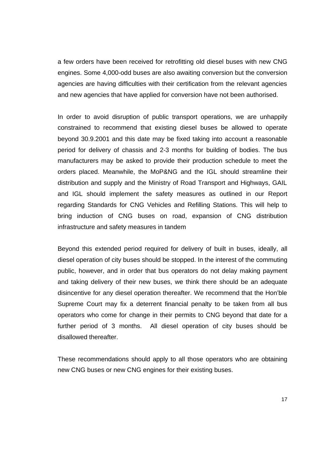a few orders have been received for retrofitting old diesel buses with new CNG engines. Some 4,000-odd buses are also awaiting conversion but the conversion agencies are having difficulties with their certification from the relevant agencies and new agencies that have applied for conversion have not been authorised.

In order to avoid disruption of public transport operations, we are unhappily constrained to recommend that existing diesel buses be allowed to operate beyond 30.9.2001 and this date may be fixed taking into account a reasonable period for delivery of chassis and 2-3 months for building of bodies. The bus manufacturers may be asked to provide their production schedule to meet the orders placed. Meanwhile, the MoP&NG and the IGL should streamline their distribution and supply and the Ministry of Road Transport and Highways, GAIL and IGL should implement the safety measures as outlined in our Report regarding Standards for CNG Vehicles and Refilling Stations. This will help to bring induction of CNG buses on road, expansion of CNG distribution infrastructure and safety measures in tandem

Beyond this extended period required for delivery of built in buses, ideally, all diesel operation of city buses should be stopped. In the interest of the commuting public, however, and in order that bus operators do not delay making payment and taking delivery of their new buses, we think there should be an adequate disincentive for any diesel operation thereafter. We recommend that the Hon'ble Supreme Court may fix a deterrent financial penalty to be taken from all bus operators who come for change in their permits to CNG beyond that date for a further period of 3 months. All diesel operation of city buses should be disallowed thereafter.

These recommendations should apply to all those operators who are obtaining new CNG buses or new CNG engines for their existing buses.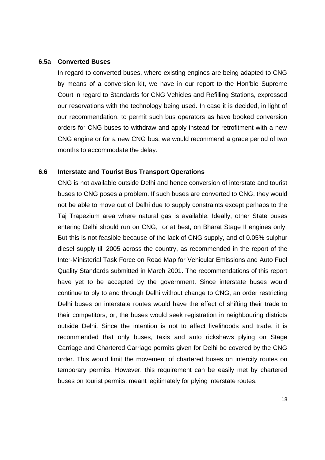#### **6.5a Converted Buses**

In regard to converted buses, where existing engines are being adapted to CNG by means of a conversion kit, we have in our report to the Hon'ble Supreme Court in regard to Standards for CNG Vehicles and Refilling Stations, expressed our reservations with the technology being used. In case it is decided, in light of our recommendation, to permit such bus operators as have booked conversion orders for CNG buses to withdraw and apply instead for retrofitment with a new CNG engine or for a new CNG bus, we would recommend a grace period of two months to accommodate the delay.

#### **6.6 Interstate and Tourist Bus Transport Operations**

CNG is not available outside Delhi and hence conversion of interstate and tourist buses to CNG poses a problem. If such buses are converted to CNG, they would not be able to move out of Delhi due to supply constraints except perhaps to the Taj Trapezium area where natural gas is available. Ideally, other State buses entering Delhi should run on CNG, or at best, on Bharat Stage II engines only. But this is not feasible because of the lack of CNG supply, and of 0.05% sulphur diesel supply till 2005 across the country, as recommended in the report of the Inter-Ministerial Task Force on Road Map for Vehicular Emissions and Auto Fuel Quality Standards submitted in March 2001. The recommendations of this report have yet to be accepted by the government. Since interstate buses would continue to ply to and through Delhi without change to CNG, an order restricting Delhi buses on interstate routes would have the effect of shifting their trade to their competitors; or, the buses would seek registration in neighbouring districts outside Delhi. Since the intention is not to affect livelihoods and trade, it is recommended that only buses, taxis and auto rickshaws plying on Stage Carriage and Chartered Carriage permits given for Delhi be covered by the CNG order. This would limit the movement of chartered buses on intercity routes on temporary permits. However, this requirement can be easily met by chartered buses on tourist permits, meant legitimately for plying interstate routes.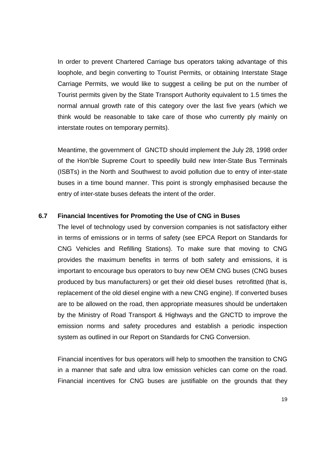In order to prevent Chartered Carriage bus operators taking advantage of this loophole, and begin converting to Tourist Permits, or obtaining Interstate Stage Carriage Permits, we would like to suggest a ceiling be put on the number of Tourist permits given by the State Transport Authority equivalent to 1.5 times the normal annual growth rate of this category over the last five years (which we think would be reasonable to take care of those who currently ply mainly on interstate routes on temporary permits).

Meantime, the government of GNCTD should implement the July 28, 1998 order of the Hon'ble Supreme Court to speedily build new Inter-State Bus Terminals (ISBTs) in the North and Southwest to avoid pollution due to entry of inter-state buses in a time bound manner. This point is strongly emphasised because the entry of inter-state buses defeats the intent of the order.

#### **6.7 Financial Incentives for Promoting the Use of CNG in Buses**

The level of technology used by conversion companies is not satisfactory either in terms of emissions or in terms of safety (see EPCA Report on Standards for CNG Vehicles and Refilling Stations). To make sure that moving to CNG provides the maximum benefits in terms of both safety and emissions, it is important to encourage bus operators to buy new OEM CNG buses (CNG buses produced by bus manufacturers) or get their old diesel buses retrofitted (that is, replacement of the old diesel engine with a new CNG engine). If converted buses are to be allowed on the road, then appropriate measures should be undertaken by the Ministry of Road Transport & Highways and the GNCTD to improve the emission norms and safety procedures and establish a periodic inspection system as outlined in our Report on Standards for CNG Conversion.

Financial incentives for bus operators will help to smoothen the transition to CNG in a manner that safe and ultra low emission vehicles can come on the road. Financial incentives for CNG buses are justifiable on the grounds that they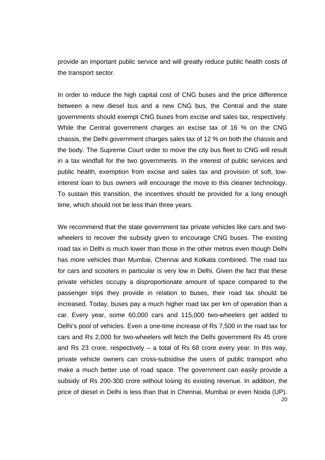provide an important public service and will greatly reduce public health costs of the transport sector.

In order to reduce the high capital cost of CNG buses and the price difference between a new diesel bus and a new CNG bus, the Central and the state governments should exempt CNG buses from excise and sales tax, respectively. While the Central government charges an excise tax of 16 % on the CNG chassis, the Delhi government charges sales tax of 12 % on both the chassis and the body. The Supreme Court order to move the city bus fleet to CNG will result in a tax windfall for the two governments. In the interest of public services and public health, exemption from excise and sales tax and provision of soft, lowinterest loan to bus owners will encourage the move to this cleaner technology. To sustain this transition, the incentives should be provided for a long enough time, which should not be less than three years.

20 We recommend that the state government tax private vehicles like cars and twowheelers to recover the subsidy given to encourage CNG buses. The existing road tax in Delhi is much lower than those in the other metros even though Delhi has more vehicles than Mumbai, Chennai and Kolkata combined. The road tax for cars and scooters in particular is very low in Delhi. Given the fact that these private vehicles occupy a disproportionate amount of space compared to the passenger trips they provide in relation to buses, their road tax should be increased. Today, buses pay a much higher road tax per km of operation than a car. Every year, some 60,000 cars and 115,000 two-wheelers get added to Delhi's pool of vehicles. Even a one-time increase of Rs 7,500 in the road tax for cars and Rs 2,000 for two-wheelers will fetch the Delhi government Rs 45 crore and Rs 23 crore, respectively – a total of Rs 68 crore every year. In this way, private vehicle owners can cross-subsidise the users of public transport who make a much better use of road space. The government can easily provide a subsidy of Rs 200-300 crore without losing its existing revenue. In addition, the price of diesel in Delhi is less than that in Chennai, Mumbai or even Noida (UP).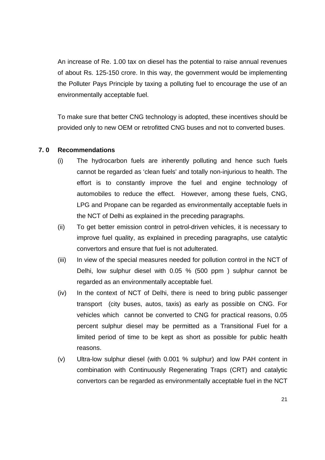An increase of Re. 1.00 tax on diesel has the potential to raise annual revenues of about Rs. 125-150 crore. In this way, the government would be implementing the Polluter Pays Principle by taxing a polluting fuel to encourage the use of an environmentally acceptable fuel.

To make sure that better CNG technology is adopted, these incentives should be provided only to new OEM or retrofitted CNG buses and not to converted buses.

# **7. 0 Recommendations**

- (i) The hydrocarbon fuels are inherently polluting and hence such fuels cannot be regarded as 'clean fuels' and totally non-injurious to health. The effort is to constantly improve the fuel and engine technology of automobiles to reduce the effect. However, among these fuels, CNG, LPG and Propane can be regarded as environmentally acceptable fuels in the NCT of Delhi as explained in the preceding paragraphs.
- (ii) To get better emission control in petrol-driven vehicles, it is necessary to improve fuel quality, as explained in preceding paragraphs, use catalytic convertors and ensure that fuel is not adulterated.
- (iii) In view of the special measures needed for pollution control in the NCT of Delhi, low sulphur diesel with 0.05 % (500 ppm ) sulphur cannot be regarded as an environmentally acceptable fuel.
- (iv) In the context of NCT of Delhi, there is need to bring public passenger transport (city buses, autos, taxis) as early as possible on CNG. For vehicles which cannot be converted to CNG for practical reasons, 0.05 percent sulphur diesel may be permitted as a Transitional Fuel for a limited period of time to be kept as short as possible for public health reasons.
- (v) Ultra-low sulphur diesel (with 0.001 % sulphur) and low PAH content in combination with Continuously Regenerating Traps (CRT) and catalytic convertors can be regarded as environmentally acceptable fuel in the NCT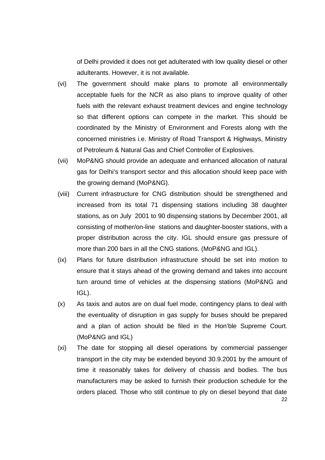of Delhi provided it does not get adulterated with low quality diesel or other adulterants. However, it is not available.

- (vi) The government should make plans to promote all environmentally acceptable fuels for the NCR as also plans to improve quality of other fuels with the relevant exhaust treatment devices and engine technology so that different options can compete in the market. This should be coordinated by the Ministry of Environment and Forests along with the concerned ministries i.e. Ministry of Road Transport & Highways, Ministry of Petroleum & Natural Gas and Chief Controller of Explosives.
- (vii) MoP&NG should provide an adequate and enhanced allocation of natural gas for Delhi's transport sector and this allocation should keep pace with the growing demand (MoP&NG).
- (viii) Current infrastructure for CNG distribution should be strengthened and increased from its total 71 dispensing stations including 38 daughter stations, as on July 2001 to 90 dispensing stations by December 2001, all consisting of mother/on-line stations and daughter-booster stations, with a proper distribution across the city. IGL should ensure gas pressure of more than 200 bars in all the CNG stations. (MoP&NG and IGL).
- (ix) Plans for future distribution infrastructure should be set into motion to ensure that it stays ahead of the growing demand and takes into account turn around time of vehicles at the dispensing stations (MoP&NG and IGL).
- (x) As taxis and autos are on dual fuel mode, contingency plans to deal with the eventuality of disruption in gas supply for buses should be prepared and a plan of action should be filed in the Hon'ble Supreme Court. (MoP&NG and IGL)
- 22 (xi) The date for stopping all diesel operations by commercial passenger transport in the city may be extended beyond 30.9.2001 by the amount of time it reasonably takes for delivery of chassis and bodies. The bus manufacturers may be asked to furnish their production schedule for the orders placed. Those who still continue to ply on diesel beyond that date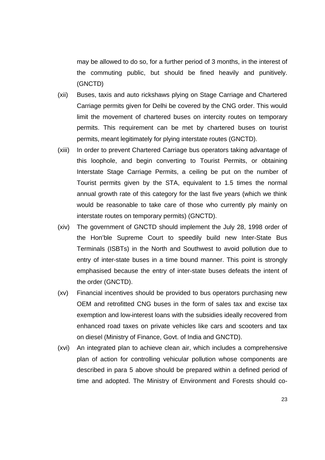may be allowed to do so, for a further period of 3 months, in the interest of the commuting public, but should be fined heavily and punitively. (GNCTD)

- (xii) Buses, taxis and auto rickshaws plying on Stage Carriage and Chartered Carriage permits given for Delhi be covered by the CNG order. This would limit the movement of chartered buses on intercity routes on temporary permits. This requirement can be met by chartered buses on tourist permits, meant legitimately for plying interstate routes (GNCTD).
- (xiii) In order to prevent Chartered Carriage bus operators taking advantage of this loophole, and begin converting to Tourist Permits, or obtaining Interstate Stage Carriage Permits, a ceiling be put on the number of Tourist permits given by the STA, equivalent to 1.5 times the normal annual growth rate of this category for the last five years (which we think would be reasonable to take care of those who currently ply mainly on interstate routes on temporary permits) (GNCTD).
- (xiv) The government of GNCTD should implement the July 28, 1998 order of the Hon'ble Supreme Court to speedily build new Inter-State Bus Terminals (ISBTs) in the North and Southwest to avoid pollution due to entry of inter-state buses in a time bound manner. This point is strongly emphasised because the entry of inter-state buses defeats the intent of the order (GNCTD).
- (xv) Financial incentives should be provided to bus operators purchasing new OEM and retrofitted CNG buses in the form of sales tax and excise tax exemption and low-interest loans with the subsidies ideally recovered from enhanced road taxes on private vehicles like cars and scooters and tax on diesel (Ministry of Finance, Govt. of India and GNCTD).
- (xvi) An integrated plan to achieve clean air, which includes a comprehensive plan of action for controlling vehicular pollution whose components are described in para 5 above should be prepared within a defined period of time and adopted. The Ministry of Environment and Forests should co-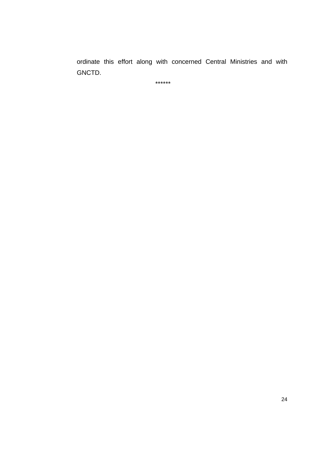ordinate this effort along with concerned Central Ministries and with GNCTD.

\*\*\*\*\*\*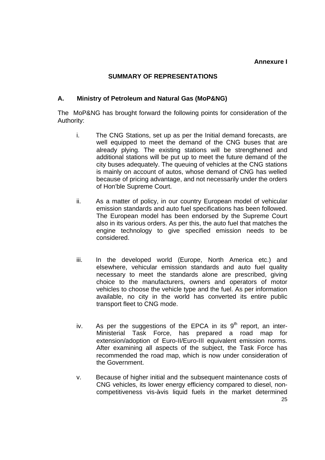#### **Annexure I**

#### **SUMMARY OF REPRESENTATIONS**

#### **A. Ministry of Petroleum and Natural Gas (MoP&NG)**

The MoP&NG has brought forward the following points for consideration of the Authority:

- i. The CNG Stations, set up as per the Initial demand forecasts, are well equipped to meet the demand of the CNG buses that are already plying. The existing stations will be strengthened and additional stations will be put up to meet the future demand of the city buses adequately. The queuing of vehicles at the CNG stations is mainly on account of autos, whose demand of CNG has welled because of pricing advantage, and not necessarily under the orders of Hon'ble Supreme Court.
- ii. As a matter of policy, in our country European model of vehicular emission standards and auto fuel specifications has been followed. The European model has been endorsed by the Supreme Court also in its various orders. As per this, the auto fuel that matches the engine technology to give specified emission needs to be considered.
- iii. In the developed world (Europe, North America etc.) and elsewhere, vehicular emission standards and auto fuel quality necessary to meet the standards alone are prescribed, giving choice to the manufacturers, owners and operators of motor vehicles to choose the vehicle type and the fuel. As per information available, no city in the world has converted its entire public transport fleet to CNG mode.
- iv. As per the suggestions of the EPCA in its  $9<sup>th</sup>$  report, an inter-Ministerial Task Force, has prepared a road map for extension/adoption of Euro-II/Euro-III equivalent emission norms. After examining all aspects of the subject, the Task Force has recommended the road map, which is now under consideration of the Government.
- v. Because of higher initial and the subsequent maintenance costs of CNG vehicles, its lower energy efficiency compared to diesel, noncompetitiveness vis-à-vis liquid fuels in the market determined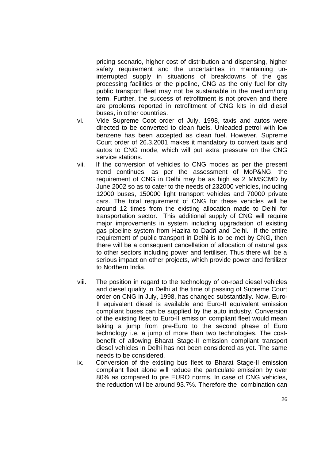pricing scenario, higher cost of distribution and dispensing, higher safety requirement and the uncertainties in maintaining uninterrupted supply in situations of breakdowns of the gas processing facilities or the pipeline, CNG as the only fuel for city public transport fleet may not be sustainable in the medium/long term. Further, the success of retrofitment is not proven and there are problems reported in retrofitment of CNG kits in old diesel buses, in other countries.

- vi. Vide Supreme Coot order of July, 1998, taxis and autos were directed to be converted to clean fuels. Unleaded petrol with low benzene has been accepted as clean fuel. However, Supreme Court order of 26.3.2001 makes it mandatory to convert taxis and autos to CNG mode, which will put extra pressure on the CNG service stations.
- vii. If the conversion of vehicles to CNG modes as per the present trend continues, as per the assessment of MoP&NG, the requirement of CNG in Delhi may be as high as 2 MMSCMD by June 2002 so as to cater to the needs of 232000 vehicles, including 12000 buses, 150000 light transport vehicles and 70000 private cars. The total requirement of CNG for these vehicles will be around 12 times from the existing allocation made to Delhi for transportation sector. This additional supply of CNG will require major improvements in system including upgradation of existing gas pipeline system from Hazira to Dadri and Delhi. If the entire requirement of public transport in Delhi is to be met by CNG, then there will be a consequent cancellation of allocation of natural gas to other sectors including power and fertiliser. Thus there will be a serious impact on other projects, which provide power and fertilizer to Northern India.
- viii. The position in regard to the technology of on-road diesel vehicles and diesel quality in Delhi at the time of passing of Supreme Court order on CNG in July, 1998, has changed substantially. Now, Euro-II equivalent diesel is available and Euro-II equivalent emission compliant buses can be supplied by the auto industry. Conversion of the existing fleet to Euro-II emission compliant fleet would mean taking a jump from pre-Euro to the second phase of Euro technology i.e. a jump of more than two technologies. The costbenefit of allowing Bharat Stage-II emission compliant transport diesel vehicles in Delhi has not been considered as yet. The same needs to be considered.
- ix. Conversion of the existing bus fleet to Bharat Stage-II emission compliant fleet alone will reduce the particulate emission by over 80% as compared to pre EURO norms. In case of CNG vehicles, the reduction will be around 93.7%. Therefore the combination can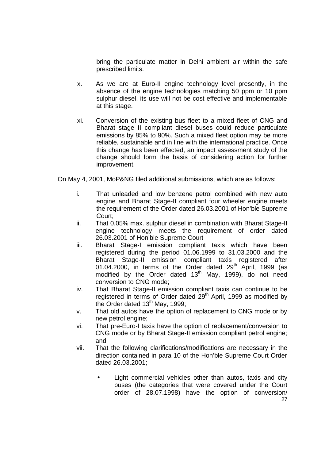bring the particulate matter in Delhi ambient air within the safe prescribed limits.

- x. As we are at Euro-II engine technology level presently, in the absence of the engine technologies matching 50 ppm or 10 ppm sulphur diesel, its use will not be cost effective and implementable at this stage.
- xi. Conversion of the existing bus fleet to a mixed fleet of CNG and Bharat stage II compliant diesel buses could reduce particulate emissions by 85% to 90%. Such a mixed fleet option may be more reliable, sustainable and in line with the international practice. Once this change has been effected, an impact assessment study of the change should form the basis of considering action for further improvement.

On May 4, 2001, MoP&NG filed additional submissions, which are as follows:

- i. That unleaded and low benzene petrol combined with new auto engine and Bharat Stage-II compliant four wheeler engine meets the requirement of the Order dated 26.03.2001 of Hon'ble Supreme Court;
- ii. That 0.05% max. sulphur diesel in combination with Bharat Stage-II engine technology meets the requirement of order dated 26.03.2001 of Hon'ble Supreme Court
- iii. Bharat Stage-I emission compliant taxis which have been registered during the period 01.06.1999 to 31.03.2000 and the Bharat Stage-II emission compliant taxis registered after 01.04.2000, in terms of the Order dated 29<sup>th</sup> April, 1999 (as modified by the Order dated  $13<sup>th</sup>$  May, 1999), do not need conversion to CNG mode;
- iv. That Bharat Stage-II emission compliant taxis can continue to be registered in terms of Order dated  $29<sup>th</sup>$  April, 1999 as modified by the Order dated 13<sup>th</sup> May, 1999;
- v. That old autos have the option of replacement to CNG mode or by new petrol engine;
- vi. That pre-Euro-I taxis have the option of replacement/conversion to CNG mode or by Bharat Stage-II emission compliant petrol engine; and
- vii. That the following clarifications/modifications are necessary in the direction contained in para 10 of the Hon'ble Supreme Court Order dated 26.03.2001;
	- 27 Light commercial vehicles other than autos, taxis and city buses (the categories that were covered under the Court order of 28.07.1998) have the option of conversion/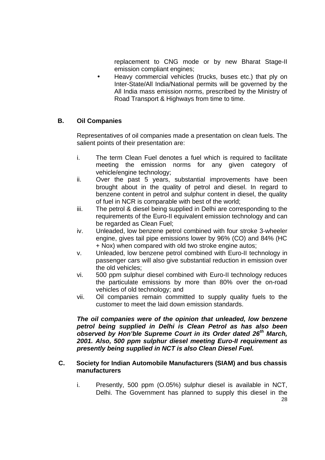replacement to CNG mode or by new Bharat Stage-II emission compliant engines;

• Heavy commercial vehicles (trucks, buses etc.) that ply on Inter-State/All India/National permits will be governed by the All India mass emission norms, prescribed by the Ministry of Road Transport & Highways from time to time.

# **B. Oil Companies**

Representatives of oil companies made a presentation on clean fuels. The salient points of their presentation are:

- i. The term Clean Fuel denotes a fuel which is required to facilitate meeting the emission norms for any given category of vehicle/engine technology;
- ii. Over the past 5 years, substantial improvements have been brought about in the quality of petrol and diesel. In regard to benzene content in petrol and sulphur content in diesel, the quality of fuel in NCR is comparable with best of the world;
- iii. The petrol & diesel being supplied in Delhi are corresponding to the requirements of the Euro-II equivalent emission technology and can be regarded as Clean Fuel;
- iv. Unleaded, low benzene petrol combined with four stroke 3-wheeler engine, gives tail pipe emissions lower by 96% (CO) and 84% (HC + Nox) when compared with old two stroke engine autos;
- v. Unleaded, low benzene petrol combined with Euro-II technology in passenger cars will also give substantial reduction in emission over the old vehicles;
- vi. 500 ppm sulphur diesel combined with Euro-II technology reduces the particulate emissions by more than 80% over the on-road vehicles of old technology; and
- vii. Oil companies remain committed to supply quality fuels to the customer to meet the laid down emission standards.

*The oil companies were of the opinion that unleaded, low benzene petrol being supplied in Delhi is Clean Petrol as has also been observed by Hon'ble Supreme Court in its Order dated 26th March, 2001. Also, 500 ppm sulphur diesel meeting Euro-II requirement as presently being supplied in NCT is also Clean Diesel Fuel.*

#### **C. Society for Indian Automobile Manufacturers (SIAM) and bus chassis manufacturers**

i. Presently, 500 ppm (O.05%) sulphur diesel is available in NCT, Delhi. The Government has planned to supply this diesel in the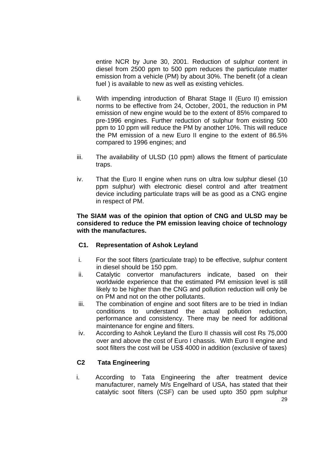entire NCR by June 30, 2001. Reduction of sulphur content in diesel from 2500 ppm to 500 ppm reduces the particulate matter emission from a vehicle (PM) by about 30%. The benefit (of a clean fuel ) is available to new as well as existing vehicles.

- ii. With impending introduction of Bharat Stage II (Euro II) emission norms to be effective from 24, October, 2001, the reduction in PM emission of new engine would be to the extent of 85% compared to pre-1996 engines. Further reduction of sulphur from existing 500 ppm to 10 ppm will reduce the PM by another 10%. This will reduce the PM emission of a new Euro II engine to the extent of 86.5% compared to 1996 engines; and
- iii. The availability of ULSD (10 ppm) allows the fitment of particulate traps.
- iv. That the Euro II engine when runs on ultra low sulphur diesel (10 ppm sulphur) with electronic diesel control and after treatment device including particulate traps will be as good as a CNG engine in respect of PM.

#### **The SIAM was of the opinion that option of CNG and ULSD may be considered to reduce the PM emission leaving choice of technology with the manufactures.**

# **C1. Representation of Ashok Leyland**

- i. For the soot filters (particulate trap) to be effective, sulphur content in diesel should be 150 ppm.
- ii. Catalytic convertor manufacturers indicate, based on their worldwide experience that the estimated PM emission level is still likely to be higher than the CNG and pollution reduction will only be on PM and not on the other pollutants.
- iii. The combination of engine and soot filters are to be tried in Indian conditions to understand the actual pollution reduction, performance and consistency. There may be need for additional maintenance for engine and filters.
- iv. According to Ashok Leyland the Euro II chassis will cost Rs 75,000 over and above the cost of Euro I chassis. With Euro II engine and soot filters the cost will be US\$ 4000 in addition (exclusive of taxes)

# **C2 Tata Engineering**

 $20$ i. According to Tata Engineering the after treatment device manufacturer, namely M/s Engelhard of USA, has stated that their catalytic soot filters (CSF) can be used upto 350 ppm sulphur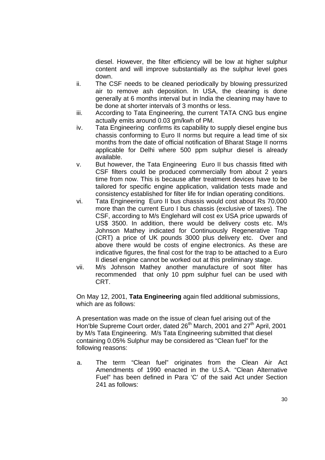diesel. However, the filter efficiency will be low at higher sulphur content and will improve substantially as the sulphur level goes down.

- ii. The CSF needs to be cleaned periodically by blowing pressurized air to remove ash deposition. In USA, the cleaning is done generally at 6 months interval but in India the cleaning may have to be done at shorter intervals of 3 months or less.
- iii. According to Tata Engineering, the current TATA CNG bus engine actually emits around 0.03 gm/kwh of PM.
- iv. Tata Engineering confirms its capability to supply diesel engine bus chassis conforming to Euro II norms but require a lead time of six months from the date of official notification of Bharat Stage II norms applicable for Delhi where 500 ppm sulphur diesel is already available.
- v. But however, the Tata Engineering Euro II bus chassis fitted with CSF filters could be produced commercially from about 2 years time from now. This is because after treatment devices have to be tailored for specific engine application, validation tests made and consistency established for filter life for Indian operating conditions.
- vi. Tata Engineering Euro II bus chassis would cost about Rs 70,000 more than the current Euro I bus chassis (exclusive of taxes). The CSF, according to M/s Englehard will cost ex USA price upwards of US\$ 3500. In addition, there would be delivery costs etc. M/s Johnson Mathey indicated for Continuously Regenerative Trap (CRT) a price of UK pounds 3000 plus delivery etc. Over and above there would be costs of engine electronics. As these are indicative figures, the final cost for the trap to be attached to a Euro II diesel engine cannot be worked out at this preliminary stage.
- vii. M/s Johnson Mathey another manufacture of soot filter has recommended that only 10 ppm sulphur fuel can be used with CRT.

On May 12, 2001, **Tata Engineering** again filed additional submissions, which are as follows:

A presentation was made on the issue of clean fuel arising out of the Hon'ble Supreme Court order, dated 26<sup>th</sup> March, 2001 and 27<sup>th</sup> April, 2001 by M/s Tata Engineering. M/s Tata Engineering submitted that diesel containing 0.05% Sulphur may be considered as "Clean fuel" for the following reasons:

a. The term "Clean fuel" originates from the Clean Air Act Amendments of 1990 enacted in the U.S.A. "Clean Alternative Fuel" has been defined in Para 'C' of the said Act under Section 241 as follows: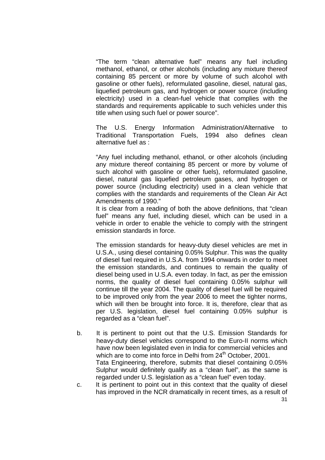"The term "clean alternative fuel" means any fuel including methanol, ethanol, or other alcohols (including any mixture thereof containing 85 percent or more by volume of such alcohol with gasoline or other fuels), reformulated gasoline, diesel, natural gas, liquefied petroleum gas, and hydrogen or power source (including electricity) used in a clean-fuel vehicle that complies with the standards and requirements applicable to such vehicles under this title when using such fuel or power source".

The U.S. Energy Information Administration/Alternative to Traditional Transportation Fuels, 1994 also defines clean alternative fuel as :

"Any fuel including methanol, ethanol, or other alcohols (including any mixture thereof containing 85 percent or more by volume of such alcohol with gasoline or other fuels), reformulated gasoline, diesel, natural gas liquefied petroleum gases, and hydrogen or power source (including electricity) used in a clean vehicle that complies with the standards and requirements of the Clean Air Act Amendments of 1990."

It is clear from a reading of both the above definitions, that "clean fuel" means any fuel, including diesel, which can be used in a vehicle in order to enable the vehicle to comply with the stringent emission standards in force.

The emission standards for heavy-duty diesel vehicles are met in U.S.A., using diesel containing 0.05% Sulphur. This was the quality of diesel fuel required in U.S.A. from 1994 onwards in order to meet the emission standards, and continues to remain the quality of diesel being used in U.S.A. even today. In fact, as per the emission norms, the quality of diesel fuel containing 0.05% sulphur will continue till the year 2004. The quality of diesel fuel will be required to be improved only from the year 2006 to meet the tighter norms, which will then be brought into force. It is, therefore, clear that as per U.S. legislation, diesel fuel containing 0.05% sulphur is regarded as a "clean fuel".

- b. It is pertinent to point out that the U.S. Emission Standards for heavy-duty diesel vehicles correspond to the Euro-II norms which have now been legislated even in India for commercial vehicles and which are to come into force in Delhi from 24<sup>th</sup> October, 2001. Tata Engineering, therefore, submits that diesel containing 0.05% Sulphur would definitely qualify as a "clean fuel", as the same is regarded under U.S. legislation as a "clean fuel" even today.
- c. It is pertinent to point out in this context that the quality of diesel has improved in the NCR dramatically in recent times, as a result of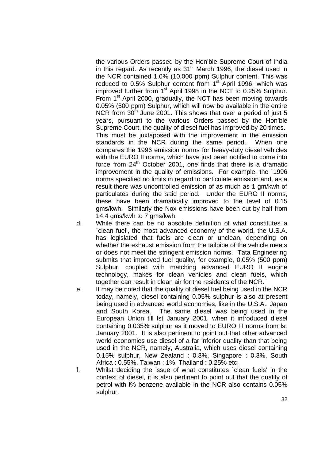the various Orders passed by the Hon'ble Supreme Court of India in this regard. As recently as  $31<sup>st</sup>$  March 1996, the diesel used in the NCR contained 1.0% (10,000 ppm) Sulphur content. This was reduced to  $0.5\%$  Sulphur content from  $1<sup>st</sup>$  April 1996, which was improved further from 1<sup>st</sup> April 1998 in the NCT to 0.25% Sulphur. From  $1<sup>st</sup>$  April 2000, gradually, the NCT has been moving towards 0.05% (500 ppm) Sulphur, which will now be available in the entire NCR from  $30<sup>th</sup>$  June 2001. This shows that over a period of just 5 years, pursuant to the various Orders passed by the Hon'ble Supreme Court, the quality of diesel fuel has improved by 20 times. This must be juxtaposed with the improvement in the emission standards in the NCR during the same period. When one compares the 1996 emission norms for heavy-duty diesel vehicles with the EURO II norms, which have just been notified to come into force from  $24<sup>th</sup>$  October 2001, one finds that there is a dramatic improvement in the quality of emissions. For example, the `1996 norms specified no limits in regard to particulate emission and, as a result there was uncontrolled emission of as much as 1 gm/kwh of particulates during the said period. Under the EURO II norms, these have been dramatically improved to the level of 0.15 gms/kwh. Similarly the Nox emissions have been cut by half from 14.4 gms/kwh to 7 gms/kwh.

- d. While there can be no absolute definition of what constitutes a `clean fuel', the most advanced economy of the world, the U.S.A. has legislated that fuels are clean or unclean, depending on whether the exhaust emission from the tailpipe of the vehicle meets or does not meet the stringent emission norms. Tata Engineering submits that improved fuel quality, for example, 0.05% (500 ppm) Sulphur, coupled with matching advanced EURO II engine technology, makes for clean vehicles and clean fuels, which together can result in clean air for the residents of the NCR.
- e. It may be noted that the quality of diesel fuel being used in the NCR today, namely, diesel containing 0.05% sulphur is also at present being used in advanced world economies, like in the U.S.A., Japan and South Korea. The same diesel was being used in the European Union till lst January 2001, when it introduced diesel containing 0.035% sulphur as it moved to EURO III norms from lst January 2001. It is also pertinent to point out that other advanced world economies use diesel of a far inferior quality than that being used in the NCR, namely, Australia, which uses diesel containing 0.15% sulphur, New Zealand : 0.3%, Singapore : 0.3%, South Africa : 0.55%, Taiwan : 1%, Thailand : 0.25% etc.
- f. Whilst deciding the issue of what constitutes `clean fuels' in the context of diesel, it is also pertinent to point out that the quality of petrol with l% benzene available in the NCR also contains 0.05% sulphur.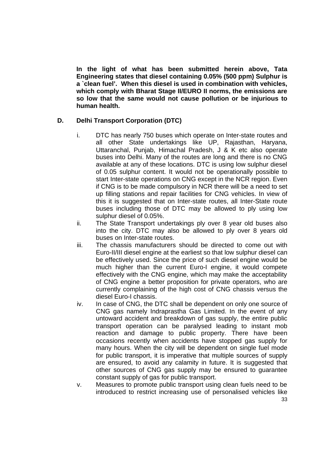**In the light of what has been submitted herein above, Tata Engineering states that diesel containing 0.05% (500 ppm) Sulphur is a `clean fuel'. When this diesel is used in combination with vehicles, which comply with Bharat Stage II/EURO II norms, the emissions are so low that the same would not cause pollution or be injurious to human health.**

# **D. Delhi Transport Corporation (DTC)**

- i. DTC has nearly 750 buses which operate on Inter-state routes and all other State undertakings like UP, Rajasthan, Haryana, Uttaranchal, Punjab, Himachal Pradesh, J & K etc also operate buses into Delhi. Many of the routes are long and there is no CNG available at any of these locations. DTC is using low sulphur diesel of 0.05 sulphur content. It would not be operationally possible to start Inter-state operations on CNG except in the NCR region. Even if CNG is to be made compulsory in NCR there will be a need to set up filling stations and repair facilities for CNG vehicles. In view of this it is suggested that on Inter-state routes, all Inter-State route buses including those of DTC may be allowed to ply using low sulphur diesel of 0.05%.
- ii. The State Transport undertakings ply over 8 year old buses also into the city. DTC may also be allowed to ply over 8 years old buses on Inter-state routes.
- iii. The chassis manufacturers should be directed to come out with Euro-II/III diesel engine at the earliest so that low sulphur diesel can be effectively used. Since the price of such diesel engine would be much higher than the current Euro-I engine, it would compete effectively with the CNG engine, which may make the acceptability of CNG engine a better proposition for private operators, who are currently complaining of the high cost of CNG chassis versus the diesel Euro-I chassis.
- iv. In case of CNG, the DTC shall be dependent on only one source of CNG gas namely Indraprastha Gas Limited. In the event of any untoward accident and breakdown of gas supply, the entire public transport operation can be paralysed leading to instant mob reaction and damage to public property. There have been occasions recently when accidents have stopped gas supply for many hours. When the city will be dependent on single fuel mode for public transport, it is imperative that multiple sources of supply are ensured, to avoid any calamity in future. It is suggested that other sources of CNG gas supply may be ensured to guarantee constant supply of gas for public transport.
- v. Measures to promote public transport using clean fuels need to be introduced to restrict increasing use of personalised vehicles like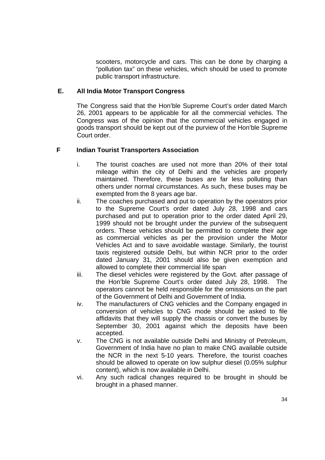scooters, motorcycle and cars. This can be done by charging a "pollution tax" on these vehicles, which should be used to promote public transport infrastructure.

# **E. All India Motor Transport Congress**

The Congress said that the Hon'ble Supreme Court's order dated March 26, 2001 appears to be applicable for all the commercial vehicles. The Congress was of the opinion that the commercial vehicles engaged in goods transport should be kept out of the purview of the Hon'ble Supreme Court order.

# **F Indian Tourist Transporters Association**

- i. The tourist coaches are used not more than 20% of their total mileage within the city of Delhi and the vehicles are properly maintained. Therefore, these buses are far less polluting than others under normal circumstances. As such, these buses may be exempted from the 8 years age bar.
- ii. The coaches purchased and put to operation by the operators prior to the Supreme Court's order dated July 28, 1998 and cars purchased and put to operation prior to the order dated April 29, 1999 should not be brought under the purview of the subsequent orders. These vehicles should be permitted to complete their age as commercial vehicles as per the provision under the Motor Vehicles Act and to save avoidable wastage. Similarly, the tourist taxis registered outside Delhi, but within NCR prior to the order dated January 31, 2001 should also be given exemption and allowed to complete their commercial life span
- iii. The diesel vehicles were registered by the Govt. after passage of the Hon'ble Supreme Court's order dated July 28, 1998. The operators cannot be held responsible for the omissions on the part of the Government of Delhi and Government of India.
- iv. The manufacturers of CNG vehicles and the Company engaged in conversion of vehicles to CNG mode should be asked to file affidavits that they will supply the chassis or convert the buses by September 30, 2001 against which the deposits have been accepted.
- v. The CNG is not available outside Delhi and Ministry of Petroleum, Government of India have no plan to make CNG available outside the NCR in the next 5-10 years. Therefore, the tourist coaches should be allowed to operate on low sulphur diesel (0.05% sulphur content), which is now available in Delhi.
- vi. Any such radical changes required to be brought in should be brought in a phased manner.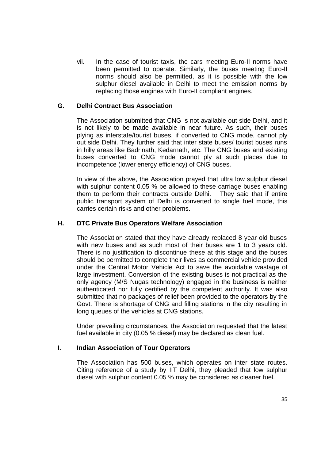vii. In the case of tourist taxis, the cars meeting Euro-II norms have been permitted to operate. Similarly, the buses meeting Euro-II norms should also be permitted, as it is possible with the low sulphur diesel available in Delhi to meet the emission norms by replacing those engines with Euro-II compliant engines.

#### **G. Delhi Contract Bus Association**

The Association submitted that CNG is not available out side Delhi, and it is not likely to be made available in near future. As such, their buses plying as interstate/tourist buses, if converted to CNG mode, cannot ply out side Delhi. They further said that inter state buses/ tourist buses runs in hilly areas like Badrinath, Kedarnath, etc. The CNG buses and existing buses converted to CNG mode cannot ply at such places due to incompetence (lower energy efficiency) of CNG buses.

In view of the above, the Association prayed that ultra low sulphur diesel with sulphur content 0.05 % be allowed to these carriage buses enabling them to perform their contracts outside Delhi. They said that if entire public transport system of Delhi is converted to single fuel mode, this carries certain risks and other problems.

#### **H. DTC Private Bus Operators Welfare Association**

The Association stated that they have already replaced 8 year old buses with new buses and as such most of their buses are 1 to 3 years old. There is no justification to discontinue these at this stage and the buses should be permitted to complete their lives as commercial vehicle provided under the Central Motor Vehicle Act to save the avoidable wastage of large investment. Conversion of the existing buses is not practical as the only agency (M/S Nugas technology) engaged in the business is neither authenticated nor fully certified by the competent authority. It was also submitted that no packages of relief been provided to the operators by the Govt. There is shortage of CNG and filling stations in the city resulting in long queues of the vehicles at CNG stations.

Under prevailing circumstances, the Association requested that the latest fuel available in city (0.05 % diesel) may be declared as clean fuel.

#### **I. Indian Association of Tour Operators**

The Association has 500 buses, which operates on inter state routes. Citing reference of a study by IIT Delhi, they pleaded that low sulphur diesel with sulphur content 0.05 % may be considered as cleaner fuel.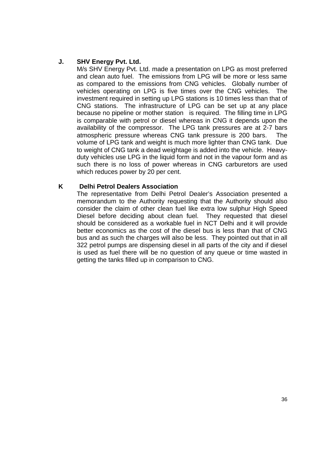# **J. SHV Energy Pvt. Ltd.**

M/s SHV Energy Pvt. Ltd. made a presentation on LPG as most preferred and clean auto fuel. The emissions from LPG will be more or less same as compared to the emissions from CNG vehicles. Globally number of vehicles operating on LPG is five times over the CNG vehicles. The investment required in setting up LPG stations is 10 times less than that of CNG stations. The infrastructure of LPG can be set up at any place because no pipeline or mother station is required. The filling time in LPG is comparable with petrol or diesel whereas in CNG it depends upon the availability of the compressor. The LPG tank pressures are at 2-7 bars atmospheric pressure whereas CNG tank pressure is 200 bars. The volume of LPG tank and weight is much more lighter than CNG tank. Due to weight of CNG tank a dead weightage is added into the vehicle. Heavyduty vehicles use LPG in the liquid form and not in the vapour form and as such there is no loss of power whereas in CNG carburetors are used which reduces power by 20 per cent.

#### **K Delhi Petrol Dealers Association**

The representative from Delhi Petrol Dealer's Association presented a memorandum to the Authority requesting that the Authority should also consider the claim of other clean fuel like extra low sulphur High Speed Diesel before deciding about clean fuel. They requested that diesel should be considered as a workable fuel in NCT Delhi and it will provide better economics as the cost of the diesel bus is less than that of CNG bus and as such the charges will also be less. They pointed out that in all 322 petrol pumps are dispensing diesel in all parts of the city and if diesel is used as fuel there will be no question of any queue or time wasted in getting the tanks filled up in comparison to CNG.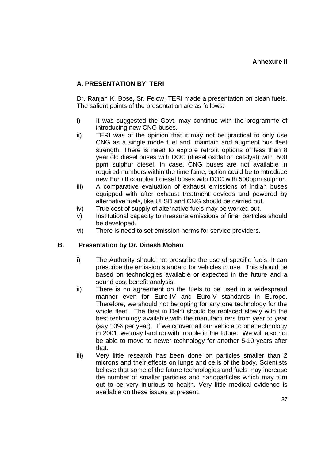# **A. PRESENTATION BY TERI**

Dr. Ranjan K. Bose, Sr. Felow, TERI made a presentation on clean fuels. The salient points of the presentation are as follows:

- i) It was suggested the Govt. may continue with the programme of introducing new CNG buses.
- ii) TERI was of the opinion that it may not be practical to only use CNG as a single mode fuel and, maintain and augment bus fleet strength. There is need to explore retrofit options of less than 8 year old diesel buses with DOC (diesel oxidation catalyst) with 500 ppm sulphur diesel. In case, CNG buses are not available in required numbers within the time fame, option could be to introduce new Euro II compliant diesel buses with DOC with 500ppm sulphur.
- iii) A comparative evaluation of exhaust emissions of Indian buses equipped with after exhaust treatment devices and powered by alternative fuels, like ULSD and CNG should be carried out.
- iv) True cost of supply of alternative fuels may be worked out.
- v) Institutional capacity to measure emissions of finer particles should be developed.
- vi) There is need to set emission norms for service providers.

#### **B. Presentation by Dr. Dinesh Mohan**

- i) The Authority should not prescribe the use of specific fuels. It can prescribe the emission standard for vehicles in use. This should be based on technologies available or expected in the future and a sound cost benefit analysis.
- ii) There is no agreement on the fuels to be used in a widespread manner even for Euro-IV and Euro-V standards in Europe. Therefore, we should not be opting for any one technology for the whole fleet. The fleet in Delhi should be replaced slowly with the best technology available with the manufacturers from year to year (say 10% per year). If we convert all our vehicle to one technology in 2001, we may land up with trouble in the future. We will also not be able to move to newer technology for another 5-10 years after that.
- iii) Very little research has been done on particles smaller than 2 microns and their effects on lungs and cells of the body. Scientists believe that some of the future technologies and fuels may increase the number of smaller particles and nanoparticles which may turn out to be very injurious to health. Very little medical evidence is available on these issues at present.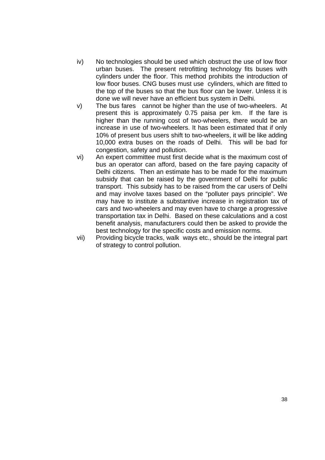- iv) No technologies should be used which obstruct the use of low floor urban buses. The present retrofitting technology fits buses with cylinders under the floor. This method prohibits the introduction of low floor buses. CNG buses must use cylinders, which are fitted to the top of the buses so that the bus floor can be lower. Unless it is done we will never have an efficient bus system in Delhi.
- v) The bus fares cannot be higher than the use of two-wheelers. At present this is approximately 0.75 paisa per km. If the fare is higher than the running cost of two-wheelers, there would be an increase in use of two-wheelers. It has been estimated that if only 10% of present bus users shift to two-wheelers, it will be like adding 10,000 extra buses on the roads of Delhi. This will be bad for congestion, safety and pollution.
- vi) An expert committee must first decide what is the maximum cost of bus an operator can afford, based on the fare paying capacity of Delhi citizens. Then an estimate has to be made for the maximum subsidy that can be raised by the government of Delhi for public transport. This subsidy has to be raised from the car users of Delhi and may involve taxes based on the "polluter pays principle". We may have to institute a substantive increase in registration tax of cars and two-wheelers and may even have to charge a progressive transportation tax in Delhi. Based on these calculations and a cost benefit analysis, manufacturers could then be asked to provide the best technology for the specific costs and emission norms.
- vii) Providing bicycle tracks, walk ways etc., should be the integral part of strategy to control pollution.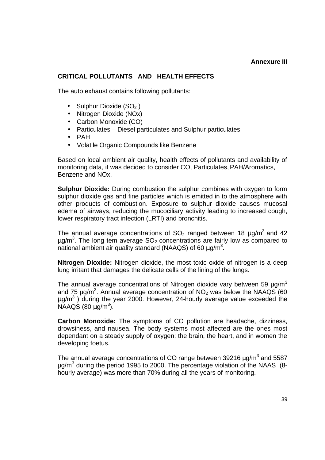#### **Annexure III**

# **CRITICAL POLLUTANTS AND HEALTH EFFECTS**

The auto exhaust contains following pollutants:

- Sulphur Dioxide  $(SO<sub>2</sub>)$
- Nitrogen Dioxide (NOx)
- Carbon Monoxide (CO)
- Particulates Diesel particulates and Sulphur particulates
- PAH
- Volatile Organic Compounds like Benzene

Based on local ambient air quality, health effects of pollutants and availability of monitoring data, it was decided to consider CO, Particulates, PAH/Aromatics, Benzene and NOx.

**Sulphur Dioxide:** During combustion the sulphur combines with oxygen to form sulphur dioxide gas and fine particles which is emitted in to the atmosphere with other products of combustion. Exposure to sulphur dioxide causes mucosal edema of airways, reducing the mucociliary activity leading to increased cough, lower respiratory tract infection (LRTI) and bronchitis.

The annual average concentrations of  $SO_2$  ranged between 18  $\mu$ g/m<sup>3</sup> and 42  $\mu$ g/m<sup>3</sup>. The long tem average SO<sub>2</sub> concentrations are fairly low as compared to national ambient air quality standard (NAAQS) of 60  $\mu$ g/m<sup>3</sup>.

**Nitrogen Dioxide:** Nitrogen dioxide, the most toxic oxide of nitrogen is a deep lung irritant that damages the delicate cells of the lining of the lungs.

The annual average concentrations of Nitrogen dioxide vary between 59  $\mu q/m^3$ and 75  $\mu$ g/m<sup>3</sup>. Annual average concentration of NO<sub>2</sub> was below the NAAQS (60  $\mu$ g/m<sup>3</sup>) during the year 2000. However, 24-hourly average value exceeded the  $NAAGS (80 \mu g/m^3).$ 

**Carbon Monoxide:** The symptoms of CO pollution are headache, dizziness, drowsiness, and nausea. The body systems most affected are the ones most dependant on a steady supply of oxygen: the brain, the heart, and in women the developing foetus.

The annual average concentrations of CO range between 39216  $\mu$ g/m $^3$  and 5587 µg/m<sup>3</sup> during the period 1995 to 2000. The percentage violation of the NAAS (8hourly average) was more than 70% during all the years of monitoring.